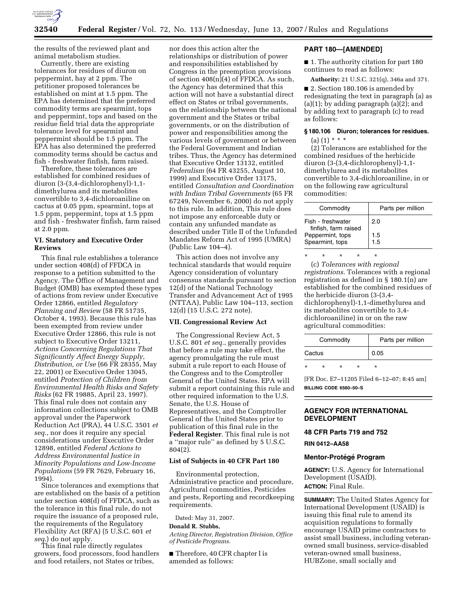

the results of the reviewed plant and animal metabolism studies.

Currently, there are existing tolerances for residues of diuron on peppermint, hay at 2 ppm. The petitioner proposed tolerances be established on mint at 1.5 ppm. The EPA has determined that the preferred commodity terms are spearmint, tops and peppermint, tops and based on the residue field trial data the appropriate tolerance level for spearmint and peppermint should be 1.5 ppm. The EPA has also determined the preferred commodity terms should be cactus and fish - freshwater finfish, farm raised.

Therefore, these tolerances are established for combined residues of diuron (3-(3,4-dichlorophenyl)-1,1 dimethylurea and its metabolites convertible to 3,4-dichloroaniline on cactus at 0.05 ppm, spearmint, tops at 1.5 ppm, peppermint, tops at 1.5 ppm and fish - freshwater finfish, farm raised at 2.0 ppm.

## **VI. Statutory and Executive Order Reviews**

This final rule establishes a tolerance under section 408(d) of FFDCA in response to a petition submitted to the Agency. The Office of Management and Budget (OMB) has exempted these types of actions from review under Executive Order 12866, entitled *Regulatory Planning and Review* (58 FR 51735, October 4, 1993). Because this rule has been exempted from review under Executive Order 12866, this rule is not subject to Executive Order 13211, *Actions Concerning Regulations That Significantly Affect Energy Supply, Distribution, or Use* (66 FR 28355, May 22, 2001) or Executive Order 13045, entitled *Protection of Children from Environmental Health Risks and Safety Risks* (62 FR 19885, April 23, 1997). This final rule does not contain any information collections subject to OMB approval under the Paperwork Reduction Act (PRA), 44 U.S.C. 3501 *et seq*., nor does it require any special considerations under Executive Order 12898, entitled *Federal Actions to Address Environmental Justice in Minority Populations and Low-Income Populations* (59 FR 7629, February 16, 1994).

Since tolerances and exemptions that are established on the basis of a petition under section 408(d) of FFDCA, such as the tolerance in this final rule, do not require the issuance of a proposed rule, the requirements of the Regulatory Flexibility Act (RFA) (5 U.S.C. 601 *et seq*.) do not apply.

This final rule directly regulates growers, food processors, food handlers and food retailers, not States or tribes,

nor does this action alter the relationships or distribution of power and responsibilities established by Congress in the preemption provisions of section  $408(n)(4)$  of FFDCA. As such, the Agency has determined that this action will not have a substantial direct effect on States or tribal governments, on the relationship between the national government and the States or tribal governments, or on the distribution of power and responsibilities among the various levels of government or between the Federal Government and Indian tribes. Thus, the Agency has determined that Executive Order 13132, entitled *Federalism* (64 FR 43255, August 10, 1999) and Executive Order 13175, entitled *Consultation and Coordination with Indian Tribal Governments* (65 FR 67249, November 6, 2000) do not apply to this rule. In addition, This rule does not impose any enforceable duty or contain any unfunded mandate as described under Title II of the Unfunded Mandates Reform Act of 1995 (UMRA) (Public Law 104–4).

This action does not involve any technical standards that would require Agency consideration of voluntary consensus standards pursuant to section 12(d) of the National Technology Transfer and Advancement Act of 1995 (NTTAA), Public Law 104–113, section 12(d) (15 U.S.C. 272 note).

# **VII. Congressional Review Act**

The Congressional Review Act, 5 U.S.C. 801 *et seq.*, generally provides that before a rule may take effect, the agency promulgating the rule must submit a rule report to each House of the Congress and to the Comptroller General of the United States. EPA will submit a report containing this rule and other required information to the U.S. Senate, the U.S. House of Representatives, and the Comptroller General of the United States prior to publication of this final rule in the **Federal Register**. This final rule is not a ''major rule'' as defined by 5 U.S.C. 804(2).

# **List of Subjects in 40 CFR Part 180**

Environmental protection, Administrative practice and procedure, Agricultural commodities, Pesticides and pests, Reporting and recordkeeping requirements.

Dated: May 31, 2007.

#### **Donald R. Stubbs,**

*Acting Director, Registration Division, Office of Pesticide Programs.* 

■ Therefore, 40 CFR chapter I is amended as follows:

# **PART 180—[AMENDED]**

■ 1. The authority citation for part 180 continues to read as follows:

**Authority:** 21 U.S.C. 321(q), 346a and 371.

■ 2. Section 180.106 is amended by redesignating the text in paragraph (a) as  $(a)(1)$ ; by adding paragraph  $(a)(2)$ ; and by adding text to paragraph (c) to read as follows:

# **§ 180.106 Diuron; tolerances for residues.**

(a)  $(1)$  \* \* \*

(2) Tolerances are established for the combined residues of the herbicide diuron (3-(3,4-dichlorophenyl)-1,1 dimethylurea and its metabolites convertible to 3,4-dichloroaniline, in or on the following raw agricultural commodities:

| Commodity                                 | Parts per million |
|-------------------------------------------|-------------------|
| Fish - freshwater<br>finfish, farm raised | 2.0               |
| Peppermint, tops<br>Spearmint, tops       | 1.5<br>1.5        |

\* \* \* \* \* (c) *Tolerances with regional registrations*. Tolerances with a regional registration as defined in § 180.1(n) are established for the combined residues of the herbicide diuron (3-(3,4 dichlorophenyl)-1,1-dimethylurea and its metabolites convertible to 3,4 dichloroaniline) in or on the raw agricultural commodities:

| Commodity |   |        |  | Parts per million |
|-----------|---|--------|--|-------------------|
| Cactus    |   |        |  | 0.05              |
| $\star$   | ÷ | $\ast$ |  |                   |

[FR Doc. E7–11205 Filed 6–12–07; 8:45 am] **BILLING CODE 6560–50–S** 

# **AGENCY FOR INTERNATIONAL DEVELOPMENT**

#### **48 CFR Parts 719 and 752**

#### **RIN 0412–AA58**

# **Mentor-Prote´ge´ Program**

**AGENCY:** U.S. Agency for International Development (USAID). **ACTION:** Final Rule.

**SUMMARY:** The United States Agency for International Development (USAID) is issuing this final rule to amend its acquisition regulations to formally encourage USAID prime contractors to assist small business, including veteranowned small business, service-disabled veteran-owned small business, HUBZone, small socially and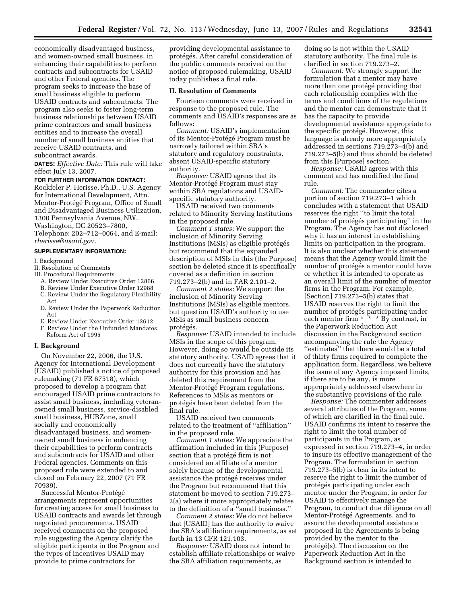economically disadvantaged business, and women-owned small business, in enhancing their capabilities to perform contracts and subcontracts for USAID and other Federal agencies. The program seeks to increase the base of small business eligible to perform USAID contracts and subcontracts. The program also seeks to foster long-term business relationships between USAID prime contractors and small business entities and to increase the overall number of small business entities that receive USAID contracts, and subcontract awards.

**DATES:** *Effective Date:* This rule will take effect July 13, 2007.

# **FOR FURTHER INFORMATION CONTACT:**

Rockfeler P. Herisse, Ph.D., U.S. Agency for International Development, Attn. Mentor-Protégé Program, Office of Small and Disadvantaged Business Utilization, 1300 Pennsylvania Avenue, NW., Washington, DC 20523–7800,

Telephone: 202–712–0064, and E-mail: *rherisse@usaid.gov.* 

#### **SUPPLEMENTARY INFORMATION:**

#### I. Background

# II. Resolution of Comments

- III. Procedural Requirements
- A. Review Under Executive Order 12866
- B. Review Under Executive Order 12988 C. Review Under the Regulatory Flexibility
- Act
- D. Review Under the Paperwork Reduction Act
- E. Review Under Executive Order 12612
- F. Review Under the Unfunded Mandates Reform Act of 1995

#### **I. Background**

On November 22, 2006, the U.S. Agency for International Development (USAID) published a notice of proposed rulemaking (71 FR 67518), which proposed to develop a program that encouraged USAID prime contractors to assist small business, including veteranowned small business, service-disabled small business, HUBZone, small socially and economically disadvantaged business, and womenowned small business in enhancing their capabilities to perform contracts and subcontracts for USAID and other Federal agencies. Comments on this proposed rule were extended to and closed on February 22, 2007 (71 FR 70939).

Successful Mentor-Protégé arrangements represent opportunities for creating access for small business to USAID contracts and awards let through negotiated procurements. USAID received comments on the proposed rule suggesting the Agency clarify the eligible participants in the Program and the types of incentives USAID may provide to prime contractors for

providing developmental assistance to protégés. After careful consideration of the public comments received on the notice of proposed rulemaking, USAID today publishes a final rule.

#### **II. Resolution of Comments**

Fourteen comments were received in response to the proposed rule. The comments and USAID's responses are as follows:

*Comment:* USAID's implementation of its Mentor-Protégé Program must be narrowly tailored within SBA's statutory and regulatory constraints, absent USAID-specific statutory authority.

*Response:* USAID agrees that its Mentor-Protégé Program must stay within SBA regulations and USAIDspecific statutory authority.

USAID received two comments related to Minority Serving Institutions in the proposed rule.

*Comment 1 states:* We support the inclusion of Minority Serving Institutions (MSIs) as eligible protégés but recommend that the expanded description of MSIs in this (the Purpose) section be deleted since it is specifically covered as a definition in section 719.273–2(b) and in FAR 2.101–2.

*Comment 2 states:* We support the inclusion of Minority Serving Institutions (MSIs) as eligible mentors, but question USAID's authority to use MSIs as small business concern protégés.

*Response:* USAID intended to include MSIs in the scope of this program. However, doing so would be outside its statutory authority. USAID agrees that it does not currently have the statutory authority for this provision and has deleted this requirement from the Mentor-Protégé Program regulations. References to MSIs as mentors or protégés have been deleted from the final rule.

USAID received two comments related to the treatment of ''affiliation'' in the proposed rule.

*Comment 1 states:* We appreciate the affirmation included in this (Purpose) section that a protégé firm is not considered an affiliate of a mentor solely because of the developmental assistance the protégé receives under the Program but recommend that this statement be moved to section 719.273– 2(a) where it more appropriately relates to the definition of a ''small business.''

*Comment 2 states:* We do not believe that [USAID] has the authority to waive the SBA's affiliation requirements, as set forth in 13 CFR 121.103.

*Response:* USAID does not intend to establish affiliate relationships or waive the SBA affiliation requirements, as

doing so is not within the USAID statutory authority. The final rule is clarified in section 719.273–2.

*Comment:* We strongly support the formulation that a mentor may have more than one protégé providing that each relationship complies with the terms and conditions of the regulations and the mentor can demonstrate that it has the capacity to provide developmental assistance appropriate to the specific protégé. However, this language is already more appropriately addressed in sections 719.273–4(b) and 719.273–5(b) and thus should be deleted from this [Purpose] section.

*Response:* USAID agrees with this comment and has modified the final rule.

*Comment:* The commenter cites a portion of section 719.273–1 which concludes with a statement that USAID reserves the right ''to limit the total number of protégés participating" in the Program. The Agency has not disclosed why it has an interest in establishing limits on participation in the program. It is also unclear whether this statement means that the Agency would limit the number of protégés a mentor could have or whether it is intended to operate as an overall limit of the number of mentor firms in the Program. For example, [Section] 719.273–5(b) states that USAID reserves the right to limit the number of protégés participating under each mentor firm \* \* \* By contrast, in the Paperwork Reduction Act discussion in the Background section accompanying the rule the Agency ''estimates'' that there would be a total of thirty firms required to complete the application form. Regardless, we believe the issue of any Agency imposed limits, if there are to be any, is more appropriately addressed elsewhere in the substantive provisions of the rule.

*Response:* The commenter addresses several attributes of the Program, some of which are clarified in the final rule. USAID confirms its intent to reserve the right to limit the total number of participants in the Program, as expressed in section 719.273–4, in order to insure its effective management of the Program. The formulation in section 719.273–5(b) is clear in its intent to reserve the right to limit the number of protégés participating under each mentor under the Program, in order for USAID to effectively manage the Program, to conduct due diligence on all Mentor-Protégé Agreements, and to assure the developmental assistance proposed in the Agreements is being provided by the mentor to the  $protégé(s)$ . The discussion on the Paperwork Reduction Act in the Background section is intended to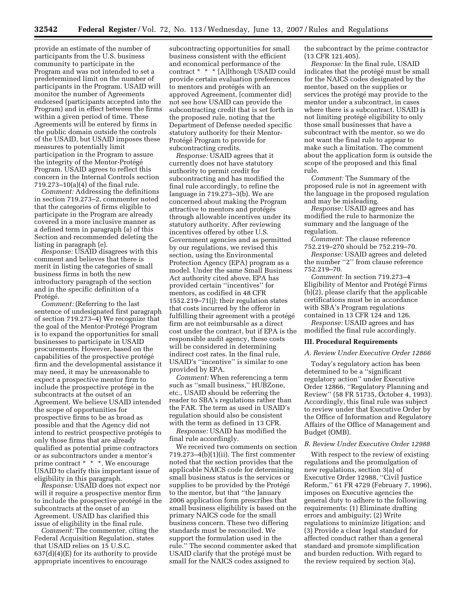provide an estimate of the number of participants from the U.S. business community to participate in the Program and was not intended to set a predetermined limit on the number of participants in the Program. USAID will monitor the number of Agreements endorsed (participants accepted into the Program) and in effect between the firms within a given period of time. These Agreements will be entered by firms in the public domain outside the controls of the USAID, but USAID imposes these measures to potentially limit participation in the Program to assure the integrity of the Mentor-Protégé Program. USAID agrees to reflect this concern in the Internal Controls section 719.273–10(a)(4) of the final rule.

*Comment:* Addressing the definitions in section 719.273–2, commenter noted that the categories of firms eligible to participate in the Program are already covered in a more inclusive manner as a defined term in paragraph (a) of this Section and recommended deleting the listing in paragraph (e).

*Response:* USAID disagrees with this comment and believes that there is merit in listing the categories of small business firms in both the new introductory paragraph of the section and in the specific definition of a Protégé.

*Comment:* (Referring to the last sentence of undesignated first paragraph of section 719.273–4) We recognize that the goal of the Mentor-Protégé Program is to expand the opportunities for small businesses to participate in USAID procurements. However, based on the capabilities of the prospective protégé firm and the developmental assistance it may need, it may be unreasonable to expect a prospective mentor firm to include the prospective protégé in the subcontracts at the outset of an Agreement. We believe USAID intended the scope of opportunities for prospective firms to be as broad as possible and that the Agency did not intend to restrict prospective protégés to only those firms that are already qualified as potential prime contractors or as subcontractors under a mentor's prime contract \* \* \*. We encourage USAID to clarify this important issue of eligibility in this paragraph.

*Response:* USAID does not expect nor will it require a prospective mentor firm to include the prospective protégé in the subcontracts at the onset of an Agreement. USAID has clarified this issue of eligibility in the final rule.

*Comment:* The commenter, citing the Federal Acquisition Regulation, states that USAID relies on 15 U.S.C.  $637(d)(4)(E)$  for its authority to provide appropriate incentives to encourage

subcontracting opportunities for small business consistent with the efficient and economical performance of the contract \* \* \* [A]lthough USAID could provide certain evaluation preferences to mentors and protégés with an approved Agreement, [commenter did] not see how USAID can provide the subcontracting credit that is set forth in the proposed rule, noting that the Department of Defense needed specific statutory authority for their Mentor-Protégé Program to provide for subcontracting credits.

*Response:* USAID agrees that it currently does not have statutory authority to permit credit for subcontracting and has modified the final rule accordingly, to refine the language in 719.273–3(b). We are concerned about making the Program attractive to mentors and protégés through allowable incentives under its statutory authority. After reviewing incentives offered by other U.S. Government agencies and as permitted by our regulations, we revised this section, using the Environmental Protection Agency (EPA) program as a model. Under the same Small Business Act authority cited above, EPA has provided certain ''incentives'' for mentors, as codified in 48 CFR 1552.219–71(j); their regulation states that costs incurred by the offeror in fulfilling their agreement with a protégé firm are not reimbursable as a direct cost under the contract, but if EPA is the responsible audit agency, these costs will be considered in determining indirect cost rates. In the final rule, USAID's ''incentive'' is similar to one provided by EPA.

*Comment:* When referencing a term such as "small business," HUBZone, etc., USAID should be referring the reader to SBA's regulations rather than the FAR. The term as used in USAID's regulation should also be consistent with the term as defined in 13 CFR.

*Response:* USAID has modified the final rule accordingly.

We received two comments on section  $719.273-4(b)(1)(ii)$ . The first commenter noted that the section provides that the applicable NAICS code for determining small business status is the services or supplies to be provided by the Protégé to the mentor, but that ''the January 2006 application form prescribes that small business eligibility is based on the primary NAICS code for the small business concern. These two differing standards must be reconciled. We support the formulation used in the rule.'' The second commenter asked that USAID clarify that the protégé must be small for the NAICS codes assigned to

the subcontract by the prime contractor (13 CFR 121.405).

*Response:* In the final rule, USAID indicates that the protégé must be small for the NAICS codes designated by the mentor, based on the supplies or services the protégé may provide to the mentor under a subcontract, in cases where there is a subcontract. USAID is not limiting protégé eligibility to only those small businesses that have a subcontract with the mentor, so we do not want the final rule to appear to make such a limitation. The comment about the application form is outside the scope of the proposed and this final rule.

*Comment:* The Summary of the proposed rule is not in agreement with the language in the proposed regulation and may be misleading.

*Response:* USAID agrees and has modified the rule to harmonize the summary and the language of the regulation.

*Comment:* The clause reference 752.219–270 should be 752.219–70.

*Response:* USAID agrees and deleted the number ''2'' from clause reference 752.219–70.

*Comment:* In section 719.273–4 Eligibility of Mentor and Protégé Firms  $(b)(2)$ , please clarify that the applicable certifications must be in accordance with SBA's Program regulations contained in 13 CFR 124 and 126.

*Response:* USAID agrees and has modified the final rule accordingly.

### **III. Procedural Requirements**

#### *A. Review Under Executive Order 12866*

Today's regulatory action has been determined to be a ''significant regulatory action'' under Executive Order 12866, ''Regulatory Planning and Review'' (58 FR 51735, October 4, 1993). Accordingly, this final rule was subject to review under that Executive Order by the Office of Information and Regulatory Affairs of the Office of Management and Budget (OMB).

### *B. Review Under Executive Order 12988*

With respect to the review of existing regulations and the promulgation of new regulations, section 3(a) of Executive Order 12988, ''Civil Justice Reform,'' 61 FR 4729 (February 7, 1996), imposes on Executive agencies the general duty to adhere to the following requirements: (1) Eliminate drafting errors and ambiguity; (2) Write regulations to minimize litigation; and (3) Provide a clear legal standard for affected conduct rather than a general standard and promote simplification and burden reduction. With regard to the review required by section 3(a),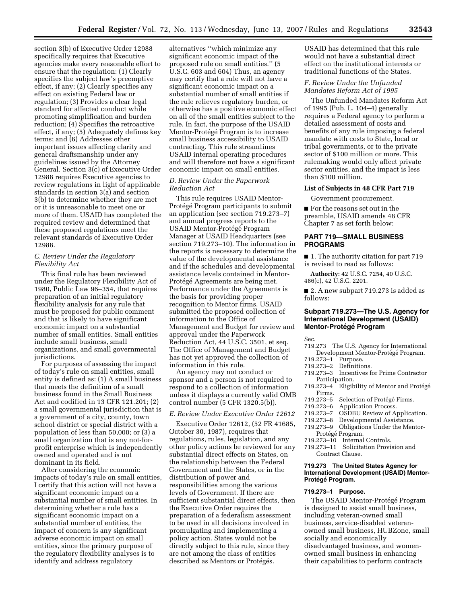section 3(b) of Executive Order 12988 specifically requires that Executive agencies make every reasonable effort to ensure that the regulation: (1) Clearly specifies the subject law's preemptive effect, if any; (2) Clearly specifies any effect on existing Federal law or regulation; (3) Provides a clear legal standard for affected conduct while promoting simplification and burden reduction; (4) Specifies the retroactive effect, if any; (5) Adequately defines key terms; and (6) Addresses other important issues affecting clarity and general draftsmanship under any guidelines issued by the Attorney General. Section 3(c) of Executive Order 12988 requires Executive agencies to review regulations in light of applicable standards in section 3(a) and section 3(b) to determine whether they are met or it is unreasonable to meet one or more of them. USAID has completed the required review and determined that these proposed regulations meet the relevant standards of Executive Order 12988.

# *C. Review Under the Regulatory Flexibility Act*

This final rule has been reviewed under the Regulatory Flexibility Act of 1980, Public Law 96–354, that requires preparation of an initial regulatory flexibility analysis for any rule that must be proposed for public comment and that is likely to have significant economic impact on a substantial number of small entities. Small entities include small business, small organizations, and small governmental jurisdictions.

For purposes of assessing the impact of today's rule on small entities, small entity is defined as: (1) A small business that meets the definition of a small business found in the Small Business Act and codified in 13 CFR 121.201; (2) a small governmental jurisdiction that is a government of a city, county, town school district or special district with a population of less than 50,000; or (3) a small organization that is any not-forprofit enterprise which is independently owned and operated and is not dominant in its field.

After considering the economic impacts of today's rule on small entities, I certify that this action will not have a significant economic impact on a substantial number of small entities. In determining whether a rule has a significant economic impact on a substantial number of entities, the impact of concern is any significant adverse economic impact on small entities, since the primary purpose of the regulatory flexibility analyses is to identify and address regulatory

alternatives ''which minimize any significant economic impact of the proposed rule on small entities.'' (5 U.S.C. 603 and 604) Thus, an agency may certify that a rule will not have a significant economic impact on a substantial number of small entities if the rule relieves regulatory burden, or otherwise has a positive economic effect on all of the small entities subject to the rule. In fact, the purpose of the USAID Mentor-Protégé Program is to increase small business accessibility to USAID contracting. This rule streamlines USAID internal operating procedures and will therefore not have a significant economic impact on small entities.

## *D. Review Under the Paperwork Reduction Act*

This rule requires USAID Mentor-Protégé Program participants to submit an application (see section 719.273–7) and annual progress reports to the USAID Mentor-Protégé Program Manager at USAID Headquarters (see section 719.273–10). The information in the reports is necessary to determine the value of the developmental assistance and if the schedules and developmental assistance levels contained in Mentor-Protégé Agreements are being met. Performance under the Agreements is the basis for providing proper recognition to Mentor firms. USAID submitted the proposed collection of information to the Office of Management and Budget for review and approval under the Paperwork Reduction Act, 44 U.S.C. 3501, et seq. The Office of Management and Budget has not yet approved the collection of information in this rule.

An agency may not conduct or sponsor and a person is not required to respond to a collection of information unless it displays a currently valid OMB control number (5 CFR 1320.5(b)).

# *E. Review Under Executive Order 12612*

Executive Order 12612, (52 FR 41685, October 30, 1987), requires that regulations, rules, legislation, and any other policy actions be reviewed for any substantial direct effects on States, on the relationship between the Federal Government and the States, or in the distribution of power and responsibilities among the various levels of Government. If there are sufficient substantial direct effects, then the Executive Order requires the preparation of a federalism assessment to be used in all decisions involved in promulgating and implementing a policy action. States would not be directly subject to this rule, since they are not among the class of entities described as Mentors or Protégés.

USAID has determined that this rule would not have a substantial direct effect on the institutional interests or traditional functions of the States.

# *F. Review Under the Unfunded Mandates Reform Act of 1995*

The Unfunded Mandates Reform Act of 1995 (Pub. L. 104–4) generally requires a Federal agency to perform a detailed assessment of costs and benefits of any rule imposing a federal mandate with costs to State, local or tribal governments, or to the private sector of \$100 million or more. This rulemaking would only affect private sector entities, and the impact is less than \$100 million.

#### **List of Subjects in 48 CFR Part 719**

Government procurement.

■ For the reasons set out in the preamble, USAID amends 48 CFR Chapter 7 as set forth below:

## **PART 719—SMALL BUSINESS PROGRAMS**

■ 1. The authority citation for part 719 is revised to read as follows:

**Authority:** 42 U.S.C. 7254, 40 U.S.C. 486(c), 42 U.S.C. 2201.

■ 2. A new subpart 719.273 is added as follows:

# **Subpart 719.273—The U.S. Agency for International Development (USAID) Mentor-Prote´ge´ Program**

Sec.

- 719.273 The U.S. Agency for International Development Mentor-Protégé Program.
- 719.273–1 Purpose.
- 719.273–2 Definitions.
- 719.273–3 Incentives for Prime Contractor Participation.
- 719.273-4 Eligibility of Mentor and Protégé Firms.<br>719.273–5
- 719.273–5 Selection of Protégé Firms.<br>719.273–6 Application Process.
- 719.273–6 Application Process.
- **OSDBU Review of Application.**
- 719.273–8 Developmental Assistance.
- Obligations Under the Mentor-
- Protégé Program.
- 719.273–10 Internal Controls.
- Solicitation Provision and Contract Clause.

# **719.273 The United States Agency for International Development (USAID) Mentor-Prote´ge´ Program.**

#### **719.273–1 Purpose.**

The USAID Mentor-Protégé Program is designed to assist small business, including veteran-owned small business, service-disabled veteranowned small business, HUBZone, small socially and economically disadvantaged business, and womenowned small business in enhancing their capabilities to perform contracts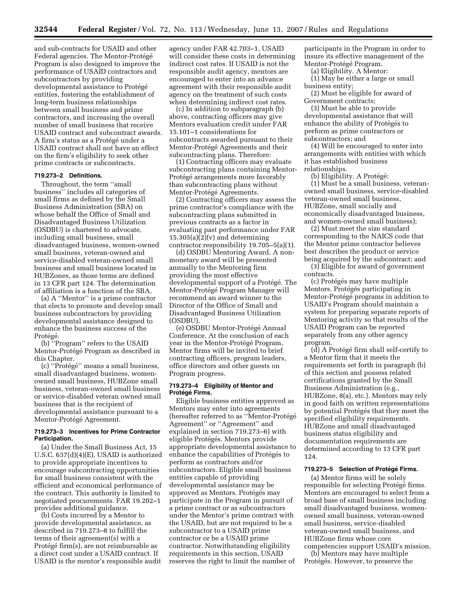and sub-contracts for USAID and other Federal agencies. The Mentor-Protégé Program is also designed to improve the performance of USAID contractors and subcontractors by providing developmental assistance to Protégé entities, fostering the establishment of long-term business relationships between small business and prime contractors, and increasing the overall number of small business that receive USAID contract and subcontract awards. A firm's status as a Protégé under a USAID contract shall not have an effect on the firm's eligibility to seek other prime contracts or subcontracts.

# **719.273–2 Definitions.**

Throughout, the term ''small business'' includes all categories of small firms as defined by the Small Business Administration (SBA) on whose behalf the Office of Small and Disadvantaged Business Utilization (OSDBU) is chartered to advocate, including small business, small disadvantaged business, women-owned small business, veteran-owned and service-disabled veteran-owned small business and small business located in HUBZones, as those terms are defined in 13 CFR part 124. The determination of affiliation is a function of the SBA.

(a) A ''Mentor'' is a prime contractor that elects to promote and develop small business subcontractors by providing developmental assistance designed to enhance the business success of the Protégé.

(b) ''Program'' refers to the USAID Mentor-Protégé Program as described in this Chapter.

(c) "Protégé" means a small business, small disadvantaged business, womenowned small business, HUBZone small business, veteran-owned small business or service-disabled veteran owned small business that is the recipient of developmental assistance pursuant to a Mentor-Protégé Agreement.

### **719.273–3 Incentives for Prime Contractor Participation.**

(a) Under the Small Business Act, 15 U.S.C. 637(d)(4)(E), USAID is authorized to provide appropriate incentives to encourage subcontracting opportunities for small business consistent with the efficient and economical performance of the contract. This authority is limited to negotiated procurements. FAR 19.202–1 provides additional guidance.

(b) Costs incurred by a Mentor to provide developmental assistance, as described in 719.273–8 to fulfill the terms of their agreement(s) with a Protégé firm(s), are not reimbursable as a direct cost under a USAID contract. If USAID is the mentor's responsible audit

agency under FAR 42.703–1, USAID will consider these costs in determining indirect cost rates. If USAID is not the responsible audit agency, mentors are encouraged to enter into an advance agreement with their responsible audit agency on the treatment of such costs when determining indirect cost rates.

(c) In addition to subparagraph (b) above, contracting officers may give Mentors evaluation credit under FAR 15.101–1 considerations for subcontracts awarded pursuant to their Mentor-Protégé Agreements and their subcontracting plans. Therefore:

(1) Contracting officers may evaluate subcontracting plans containing Mentor-Protégé arrangements more favorably than subcontracting plans without Mentor-Protégé Agreements.

(2) Contracting officers may assess the prime contractor's compliance with the subcontracting plans submitted in previous contracts as a factor in evaluating past performance under FAR  $15.305(a)(2)(v)$  and determining contractor responsibility 19.705–5(a)(1).

(d) OSDBU Mentoring Award. A nonmonetary award will be presented annually to the Mentoring firm providing the most effective developmental support of a Protégé. The Mentor-Protégé Program Manager will recommend an award winner to the Director of the Office of Small and Disadvantaged Business Utilization (OSDBU).

(e) OSDBU Mentor-Protégé Annual Conference. At the conclusion of each year in the Mentor-Protégé Program, Mentor firms will be invited to brief contracting officers, program leaders, office directors and other guests on Program progress.

# **719.273–4 Eligibility of Mentor and Prote´ge´ Firms.**

Eligible business entities approved as Mentors may enter into agreements (hereafter referred to as "Mentor-Protégé Agreement'' or ''Agreement'' and explained in section 719.273–6) with eligible Protégés. Mentors provide appropriate developmental assistance to enhance the capabilities of Protégés to perform as contractors and/or subcontractors. Eligible small business entities capable of providing developmental assistance may be approved as Mentors. Protégés may participate in the Program in pursuit of a prime contract or as subcontractors under the Mentor's prime contract with the USAID, but are not required to be a subcontractor to a USAID prime contractor or be a USAID prime contractor. Notwithstanding eligibility requirements in this section, USAID reserves the right to limit the number of

participants in the Program in order to insure its effective management of the Mentor-Protégé Program.

(a) Eligibility. A Mentor:

(1) May be either a large or small business entity;

(2) Must be eligible for award of Government contracts;

(3) Must be able to provide developmental assistance that will enhance the ability of Protégés to perform as prime contractors or subcontractors; and

(4) Will be encouraged to enter into arrangements with entities with which it has established business relationships.

(b) Eligibility. A Protégé:

(1) Must be a small business, veteranowned small business, service-disabled veteran-owned small business, HUBZone, small socially and economically disadvantaged business, and women-owned small business);

(2) Must meet the size standard corresponding to the NAICS code that the Mentor prime contractor believes best describes the product or service being acquired by the subcontract; and (3) Eligible for award of government

contracts.

(c) Protégés may have multiple Mentors. Protégés participating in Mentor-Protégé programs in addition to USAID's Program should maintain a system for preparing separate reports of Mentoring activity so that results of the USAID Program can be reported separately from any other agency program.

(d) A Protégé firm shall self-certify to a Mentor firm that it meets the requirements set forth in paragraph (b) of this section and possess related certifications granted by the Small Business Administration (e.g., HUBZone, 8(a), etc.). Mentors may rely in good faith on written representations by potential Protégés that they meet the specified eligibility requirements. HUBZone and small disadvantaged business status eligibility and documentation requirements are determined according to 13 CFR part 124.

#### **719.273–5 Selection of Prote´ge´ Firms.**

(a) Mentor firms will be solely responsible for selecting Protégé firms. Mentors are encouraged to select from a broad base of small business including small disadvantaged business, womenowned small business, veteran-owned small business, service-disabled veteran-owned small business, and HUBZone firms whose core competencies support USAID's mission.

(b) Mentors may have multiple Protégés. However, to preserve the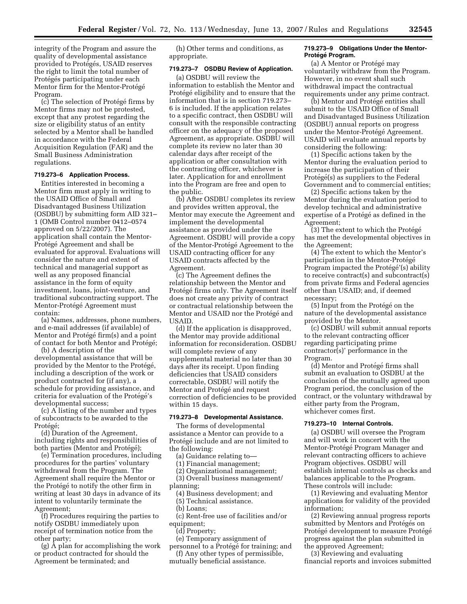integrity of the Program and assure the quality of developmental assistance provided to Protégés, USAID reserves the right to limit the total number of Protégés participating under each Mentor firm for the Mentor-Protégé Program.

(c) The selection of Protégé firms by Mentor firms may not be protested, except that any protest regarding the size or eligibility status of an entity selected by a Mentor shall be handled in accordance with the Federal Acquisition Regulation (FAR) and the Small Business Administration regulations.

# **719.273–6 Application Process.**

Entities interested in becoming a Mentor firm must apply in writing to the USAID Office of Small and Disadvantaged Business Utilization (OSDBU) by submitting form AID 321– 1 (OMB Control number 0412–0574 approved on 5/22/2007). The application shall contain the Mentor-Protégé Agreement and shall be evaluated for approval. Evaluations will consider the nature and extent of technical and managerial support as well as any proposed financial assistance in the form of equity investment, loans, joint-venture, and traditional subcontracting support. The Mentor-Protégé Agreement must contain:

(a) Names, addresses, phone numbers, and e-mail addresses (if available) of Mentor and Protégé firm(s) and a point of contact for both Mentor and Protégé;

(b) A description of the developmental assistance that will be provided by the Mentor to the Protégé, including a description of the work or product contracted for (if any), a schedule for providing assistance, and criteria for evaluation of the Protégé's developmental success;

(c) A listing of the number and types of subcontracts to be awarded to the Protégé;

(d) Duration of the Agreement, including rights and responsibilities of both parties (Mentor and Protégé);

(e) Termination procedures, including procedures for the parties' voluntary withdrawal from the Program. The Agreement shall require the Mentor or the Protégé to notify the other firm in writing at least 30 days in advance of its intent to voluntarily terminate the Agreement;

(f) Procedures requiring the parties to notify OSDBU immediately upon receipt of termination notice from the other party;

(g) A plan for accomplishing the work or product contracted for should the Agreement be terminated; and

(h) Other terms and conditions, as appropriate.

# **719.273–7 OSDBU Review of Application.**

(a) OSDBU will review the information to establish the Mentor and Protégé eligibility and to ensure that the information that is in section 719.273– 6 is included. If the application relates to a specific contract, then OSDBU will consult with the responsible contracting officer on the adequacy of the proposed Agreement, as appropriate. OSDBU will complete its review no later than 30 calendar days after receipt of the application or after consultation with the contracting officer, whichever is later. Application for and enrollment into the Program are free and open to the public.

(b) After OSDBU completes its review and provides written approval, the Mentor may execute the Agreement and implement the developmental assistance as provided under the Agreement. OSDBU will provide a copy of the Mentor-Protégé Agreement to the USAID contracting officer for any USAID contracts affected by the Agreement.

(c) The Agreement defines the relationship between the Mentor and Protégé firms only. The Agreement itself does not create any privity of contract or contractual relationship between the Mentor and USAID nor the Protégé and USAID.

(d) If the application is disapproved, the Mentor may provide additional information for reconsideration. OSDBU will complete review of any supplemental material no later than 30 days after its receipt. Upon finding deficiencies that USAID considers correctable, OSDBU will notify the Mentor and Protégé and request correction of deficiencies to be provided within 15 days.

### **719.273–8 Developmental Assistance.**

The forms of developmental assistance a Mentor can provide to a Protégé include and are not limited to the following:

(a) Guidance relating to—

(1) Financial management;

(2) Organizational management;

(3) Overall business management/ planning;

- (4) Business development; and
- (5) Technical assistance.
- (b) Loans;
- (c) Rent-free use of facilities and/or equipment;

(d) Property;

(e) Temporary assignment of

personnel to a Protégé for training; and (f) Any other types of permissible,

mutually beneficial assistance.

#### **719.273–9 Obligations Under the Mentor-Prote´ge´ Program.**

(a) A Mentor or Protégé may voluntarily withdraw from the Program. However, in no event shall such withdrawal impact the contractual requirements under any prime contract.

(b) Mentor and Protégé entities shall submit to the USAID Office of Small and Disadvantaged Business Utilization (OSDBU) annual reports on progress under the Mentor-Protégé Agreement. USAID will evaluate annual reports by considering the following:

(1) Specific actions taken by the Mentor during the evaluation period to increase the participation of their Protégé(s) as suppliers to the Federal Government and to commercial entities;

(2) Specific actions taken by the Mentor during the evaluation period to develop technical and administrative expertise of a Protégé as defined in the Agreement;

 $(3)$  The extent to which the Protégé has met the developmental objectives in the Agreement;

(4) The extent to which the Mentor's participation in the Mentor-Protégé Program impacted the Protégé'(s) ability to receive contract(s) and subcontract(s) from private firms and Federal agencies other than USAID; and, if deemed necessary;

(5) Input from the Protégé on the nature of the developmental assistance provided by the Mentor.

(c) OSDBU will submit annual reports to the relevant contracting officer regarding participating prime contractor(s)' performance in the Program.

(d) Mentor and Protégé firms shall submit an evaluation to OSDBU at the conclusion of the mutually agreed upon Program period, the conclusion of the contract, or the voluntary withdrawal by either party from the Program, whichever comes first.

#### **719.273–10 Internal Controls.**

(a) OSDBU will oversee the Program and will work in concert with the Mentor-Protégé Program Manager and relevant contracting officers to achieve Program objectives. OSDBU will establish internal controls as checks and balances applicable to the Program. These controls will include:

(1) Reviewing and evaluating Mentor applications for validity of the provided information;

(2) Reviewing annual progress reports submitted by Mentors and Protégés on Protégé development to measure Protégé progress against the plan submitted in the approved Agreement;

(3) Reviewing and evaluating financial reports and invoices submitted